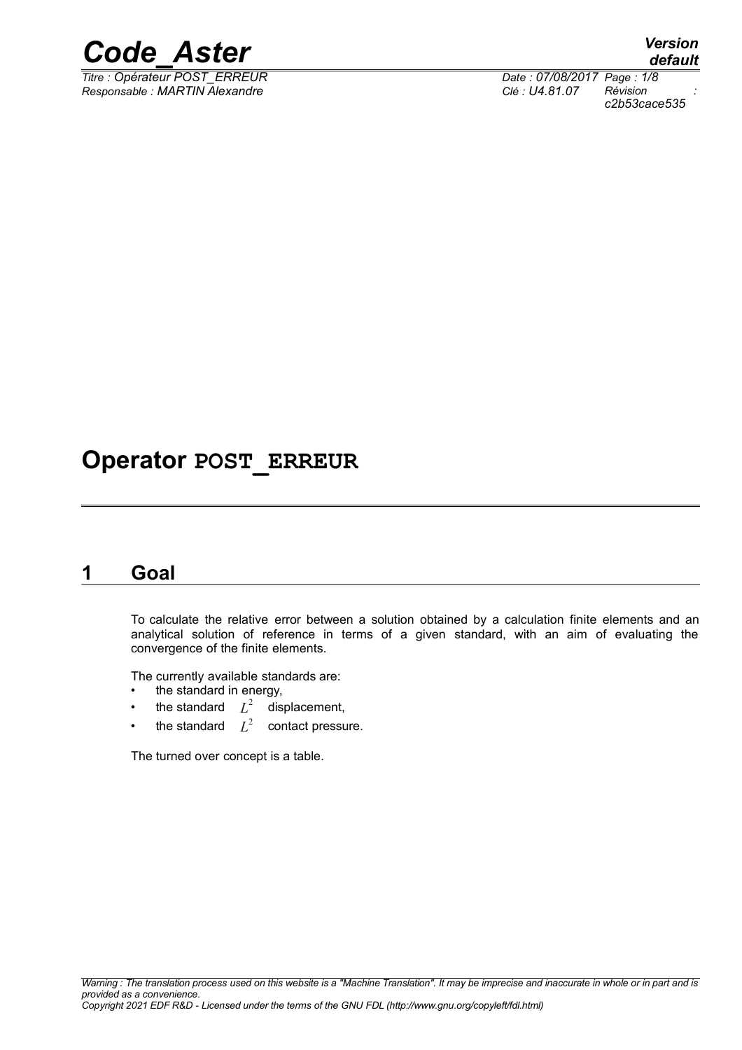

*Titre : Opérateur POST\_ERREUR Date : 07/08/2017 Page : 1/8 Responsable : MARTIN Alexandre Clé : U4.81.07 Révision :*

*c2b53cace535*

## **Operator POST\_ERREUR**

### **1 Goal**

To calculate the relative error between a solution obtained by a calculation finite elements and an analytical solution of reference in terms of a given standard, with an aim of evaluating the convergence of the finite elements.

The currently available standards are:

- the standard in energy,
- the standard  $L^2$  displacement,
- the standard  $L^2$  contact pressure.

The turned over concept is a table.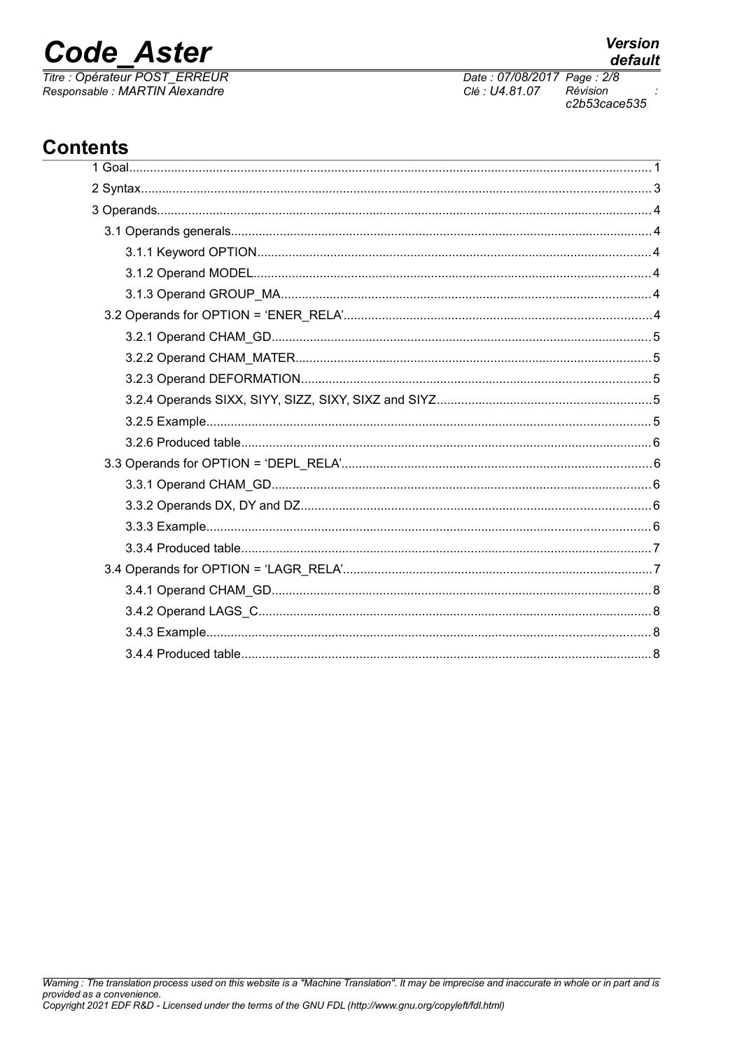## **Code Aster**

Titre : Opérateur POST ERREUR Responsable : MARTIN Alexandre

## **Contents**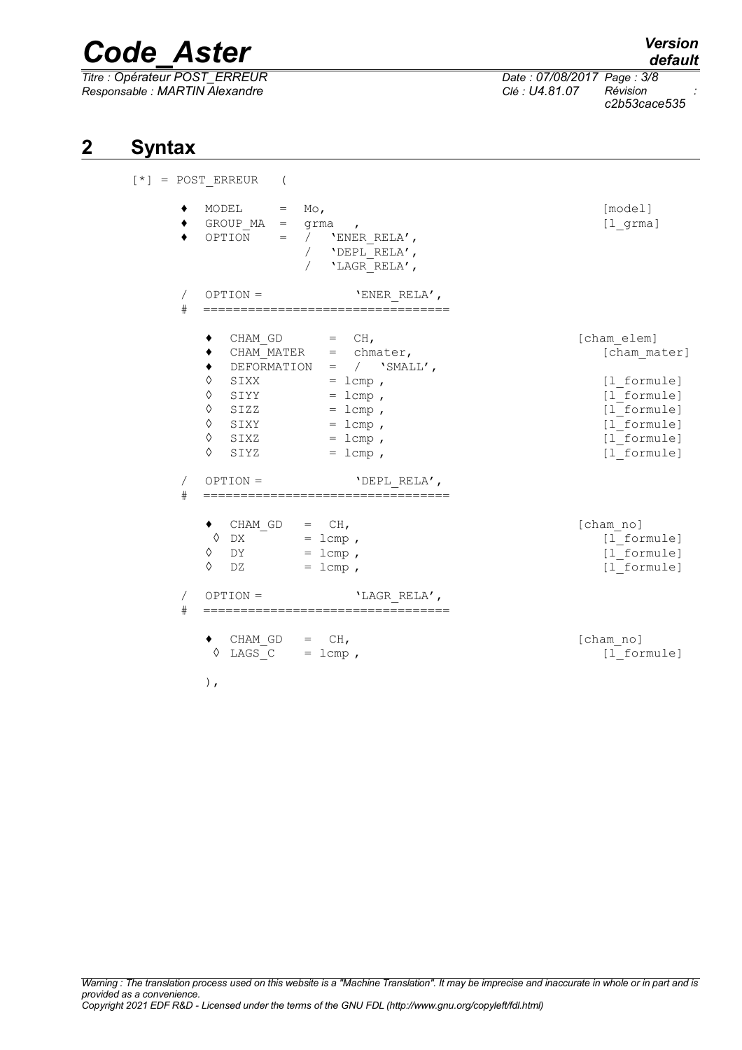*Titre : Opérateur POST\_ERREUR Date : 07/08/2017 Page : 3/8 Responsable : MARTIN Alexandre Clé : U4.81.07 Révision :*

*default*

*c2b53cace535*

### **2 Syntax**

 $[\star]$  =

|                           | POST ERREUR<br>$\overline{ }$                                                                                                                                                                                                                                                                      |                                                                                                                       |
|---------------------------|----------------------------------------------------------------------------------------------------------------------------------------------------------------------------------------------------------------------------------------------------------------------------------------------------|-----------------------------------------------------------------------------------------------------------------------|
|                           | MODEL<br>$M \circ$ ,<br>$=$<br>GROUP $MA = $ grma<br>$\mathbf{r}$<br>$\alpha = 0$<br>OPTION<br>'ENER RELA',<br>/ 'DEPL RELA',<br>'LAGR RELA',                                                                                                                                                      | [model]<br>$[1 \text{ gram}]$                                                                                         |
| $\sqrt{2}$<br>$_{\rm \#}$ | $OPTION =$<br>'ENER RELA',<br>==================================                                                                                                                                                                                                                                   |                                                                                                                       |
| $\sqrt{2}$<br>$_{\rm \#}$ | CHAM GD<br>$=$ CH,<br>CHAM MATER $=$ chmater,<br>٠<br>DEFORMATION = $/$ 'SMALL',<br>٠<br>$\Diamond$<br>SIXX<br>$= 1$ cmp,<br>$\Diamond$<br>$=$ lcmp,<br>SIYY<br>♦<br>SIZZ<br>$=$ lcmp,<br>♦<br>$=$ lcmp,<br>SIXY<br>♦<br>$=$ lcmp,<br>SIXZ<br>♦<br>$=$ lcmp,<br>SIYZ<br>$OPTION =$<br>'DEPL RELA', | [cham elem]<br>[cham mater]<br>[1 formule]<br>[1 formule]<br>[1 formule]<br>[1 formule]<br>[1 formule]<br>[1 formule] |
|                           | $\bullet$ CHAM_GD = CH,<br>$\lozenge$ DX<br>$= 1$ cmp,<br>♦<br>$= 1$ cmp,<br>DY<br>♦<br>DZ<br>$=$ lcmp,                                                                                                                                                                                            | [cham no]<br>[1 formule]<br>[1 formule]<br>[1 formule]                                                                |
| 7<br>#                    | $OPTION =$<br>'LAGR RELA',                                                                                                                                                                                                                                                                         |                                                                                                                       |
|                           | $CHAM GD =$<br>CH <sub>1</sub><br>♦<br>LAGS $C = lcm$ ,<br>),                                                                                                                                                                                                                                      | [cham no]<br>[1 formule]                                                                                              |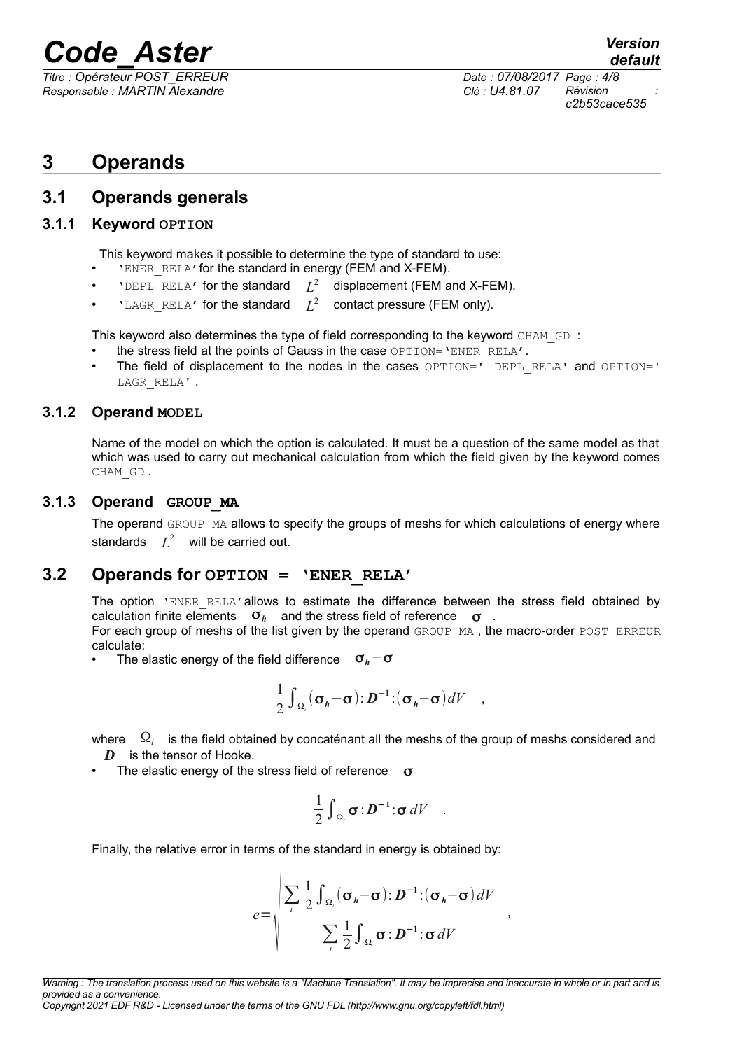*Responsable : MARTIN Alexandre Clé : U4.81.07 Révision :*

*Titre : Opérateur POST\_ERREUR Date : 07/08/2017 Page : 4/8 c2b53cace535*

### **3 Operands**

#### **3.1 Operands generals**

#### **3.1.1 Keyword OPTION**

This keyword makes it possible to determine the type of standard to use:

- 'ENER\_RELA'for the standard in energy (FEM and X-FEM).
- $VDEPL\_RELA'$  for the standard  $L^2$  displacement (FEM and X-FEM).
- $VIAGR_RELA'$  for the standard  $L^2$ contact pressure (FEM only).

This keyword also determines the type of field corresponding to the keyword CHAM\_GD :

- the stress field at the points of Gauss in the case OPTION='ENER\_RELA'.
- The field of displacement to the nodes in the cases  $OPTION = \overline{UPT}$  DEPL RELA' and OPTION=' LAGR\_RELA' .

#### **3.1.2 Operand MODEL**

Name of the model on which the option is calculated. It must be a question of the same model as that which was used to carry out mechanical calculation from which the field given by the keyword comes CHAM\_GD .

#### **3.1.3 Operand GROUP\_MA**

The operand GROUP MA allows to specify the groups of meshs for which calculations of energy where standards  $L^2$  will be carried out.

#### **3.2 Operands for OPTION = 'ENER\_RELA'**

The option 'ENER RELA'allows to estimate the difference between the stress field obtained by calculation finite elements σ*h* and the stress field of reference σ .

For each group of meshs of the list given by the operand GROUP MA, the macro-order POST\_ERREUR calculate:

• The elastic energy of the field difference σ*h*−σ

$$
\frac{1}{2}\int_{\Omega_i} (\sigma_h - \sigma) : \mathbf{D}^{-1} : (\sigma_h - \sigma) dV \quad ,
$$

where Ω*i* is the field obtained by concaténant all the meshs of the group of meshs considered and *D* is the tensor of Hooke.

The elastic energy of the stress field of reference  $\sigma$ 

$$
\frac{1}{2}\int_{\Omega_i} \sigma : \mathbf{D}^{-1} : \sigma \, dV \quad .
$$

Finally, the relative error in terms of the standard in energy is obtained by:

$$
e = \sqrt{\frac{\sum_{i} \frac{1}{2} \int_{\Omega_i} (\sigma_h - \sigma) : D^{-1} : (\sigma_h - \sigma) dV}{\sum_{i} \frac{1}{2} \int_{\Omega_i} \sigma : D^{-1} : \sigma dV}}
$$

,

*Copyright 2021 EDF R&D - Licensed under the terms of the GNU FDL (http://www.gnu.org/copyleft/fdl.html)*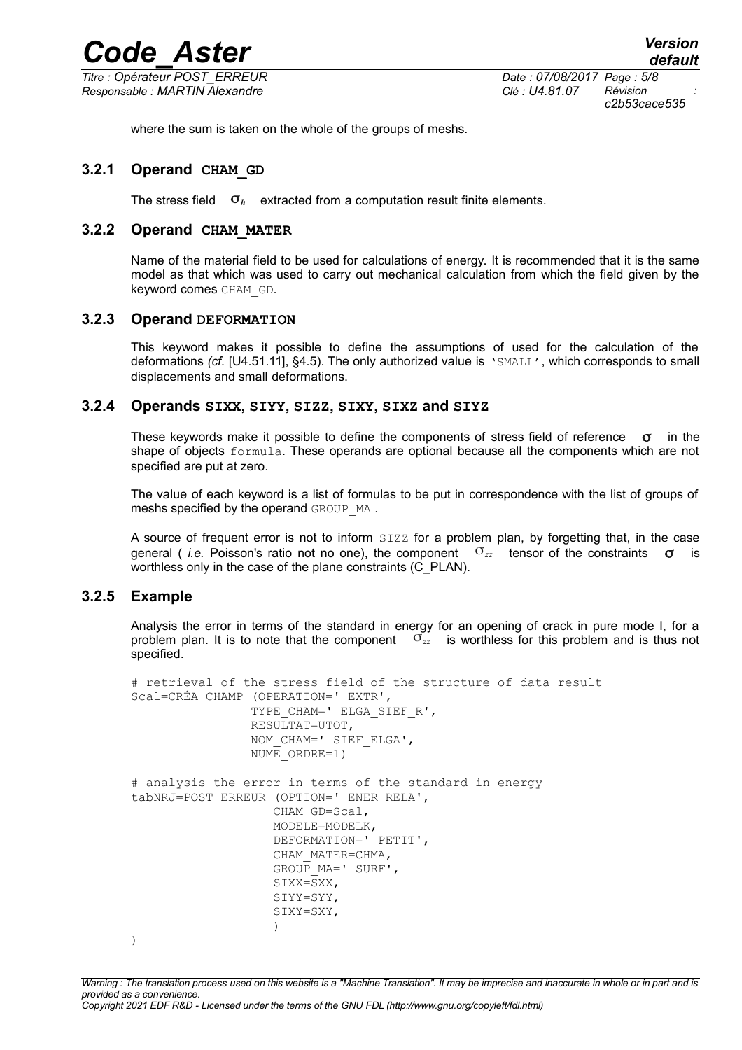*Code\_Aster Version Titre : Opérateur POST\_ERREUR Date : 07/08/2017 Page : 5/8 Responsable : MARTIN Alexandre Clé : U4.81.07 Révision :*

*c2b53cace535*

where the sum is taken on the whole of the groups of meshs.

#### **3.2.1 Operand CHAM\_GD**

The stress field  $\sigma_h$  extracted from a computation result finite elements.

#### **3.2.2 Operand CHAM\_MATER**

Name of the material field to be used for calculations of energy. It is recommended that it is the same model as that which was used to carry out mechanical calculation from which the field given by the keyword comes CHAM\_GD.

#### **3.2.3 Operand DEFORMATION**

This keyword makes it possible to define the assumptions of used for the calculation of the deformations *(cf.* [U4.51.11], §4.5). The only authorized value is 'SMALL', which corresponds to small displacements and small deformations.

#### **3.2.4 Operands SIXX, SIYY, SIZZ, SIXY, SIXZ and SIYZ**

These keywords make it possible to define the components of stress field of reference  $\sigma$  in the shape of objects formula. These operands are optional because all the components which are not specified are put at zero.

The value of each keyword is a list of formulas to be put in correspondence with the list of groups of meshs specified by the operand GROUP MA.

A source of frequent error is not to inform SIZZ for a problem plan, by forgetting that, in the case general ( *i.e.* Poisson's ratio not no one), the component σ*zz* tensor of the constraints σ is worthless only in the case of the plane constraints (C\_PLAN).

#### **3.2.5 Example**

Analysis the error in terms of the standard in energy for an opening of crack in pure mode I, for a problem plan. It is to note that the component σ*zz* is worthless for this problem and is thus not specified.

```
# retrieval of the stress field of the structure of data result
Scal=CRÉA_CHAMP (OPERATION=' EXTR', 
                TYPE CHAM=' ELGA SIEF R',
                  RESULTAT=UTOT, 
                  NOM_CHAM=' SIEF_ELGA', 
                  NUME_ORDRE=1) 
# analysis the error in terms of the standard in energy
tabNRJ=POST_ERREUR (OPTION=' ENER_RELA', 
                     CHAM_GD=Scal, 
                     MODELE=MODELK, 
                     DEFORMATION=' PETIT', 
                     CHAM_MATER=CHMA, 
                    GROUP MA = ' SURF',
                    SIXX=\overline{S}XX,
                     SIYY=SYY, 
                     SIXY=SXY, 
 )
```
)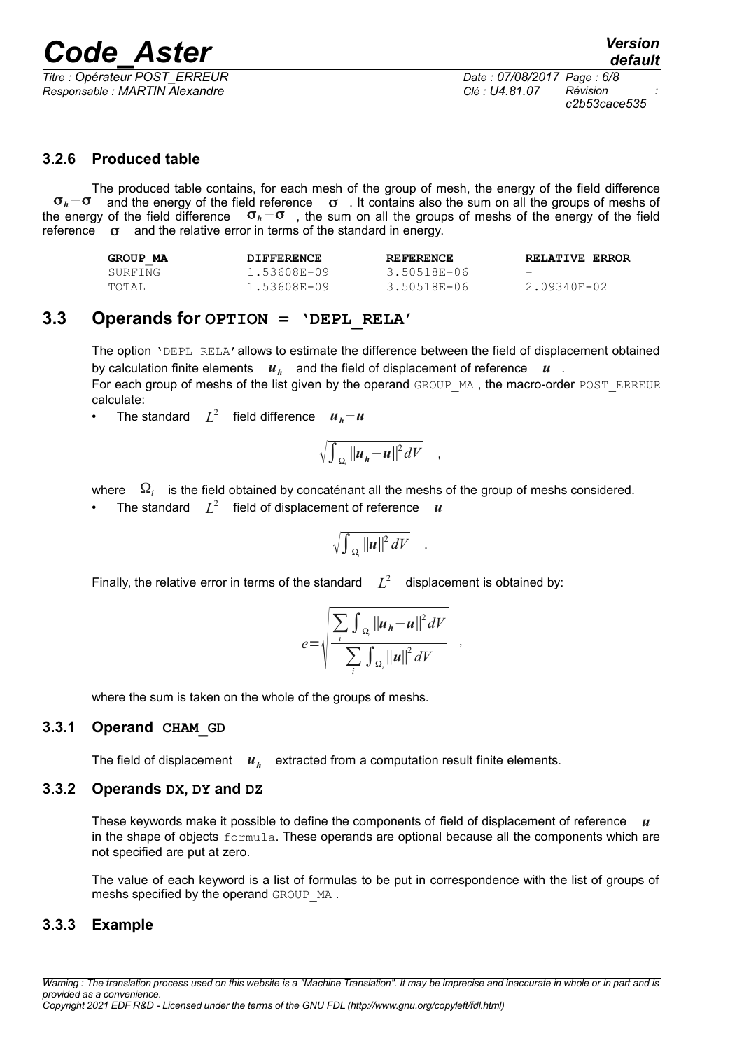*Titre : Opérateur POST\_ERREUR Date : 07/08/2017 Page : 6/8 Responsable : MARTIN Alexandre Clé : U4.81.07 Révision :*

*c2b53cace535*

#### **3.2.6 Produced table**

The produced table contains, for each mesh of the group of mesh, the energy of the field difference σ*h*−σ and the energy of the field reference σ . It contains also the sum on all the groups of meshs of the energy of the field difference σ*h*−σ , the sum on all the groups of meshs of the energy of the field reference  $\sigma$  and the relative error in terms of the standard in energy.

| GROUP MA | <b>DIFFERENCE</b> | <b>REFERENCE</b> | <b>RELATIVE ERROR</b>    |
|----------|-------------------|------------------|--------------------------|
| SURFING  | 1.53608E-09       | 3.50518E-06      | $\overline{\phantom{0}}$ |
| TOTAL    | 1.53608E-09       | 3.50518E-06      | 2.09340E-02              |

#### **3.3 Operands for OPTION = 'DEPL\_RELA'**

The option 'DEPL\_RELA' allows to estimate the difference between the field of displacement obtained by calculation finite elements  $u_h$  and the field of displacement of reference  $u$ . For each group of meshs of the list given by the operand GROUP MA, the macro-order POST\_ERREUR calculate:

• The standard *L* 2 field difference *uh*−*u*

$$
\sqrt{\int_{\Omega_i} ||u_h - u||^2 dV} ,
$$

where  $\Omega_i$  is the field obtained by concaténant all the meshs of the group of meshs considered.

• The standard  $L^2$  field of displacement of reference  $\bm{u}$ 

$$
\sqrt{\int_{\Omega_{\rm s}} ||u||^2 dV} \quad .
$$

Finally, the relative error in terms of the standard  $L^2$  displacement is obtained by:

$$
e = \sqrt{\frac{\sum_{i} \int_{\Omega_i} ||u_h - u||^2 dV}{\sum_{i} \int_{\Omega_i} ||u||^2 dV}}
$$

,

where the sum is taken on the whole of the groups of meshs.

#### **3.3.1 Operand CHAM\_GD**

The field of displacement *u<sub>h</sub>* extracted from a computation result finite elements.

#### **3.3.2 Operands DX, DY and DZ**

These keywords make it possible to define the components of field of displacement of reference *u* in the shape of objects formula. These operands are optional because all the components which are not specified are put at zero.

The value of each keyword is a list of formulas to be put in correspondence with the list of groups of meshs specified by the operand GROUP MA.

#### **3.3.3 Example**

*Warning : The translation process used on this website is a "Machine Translation". It may be imprecise and inaccurate in whole or in part and is provided as a convenience.*

#### *Copyright 2021 EDF R&D - Licensed under the terms of the GNU FDL (http://www.gnu.org/copyleft/fdl.html)*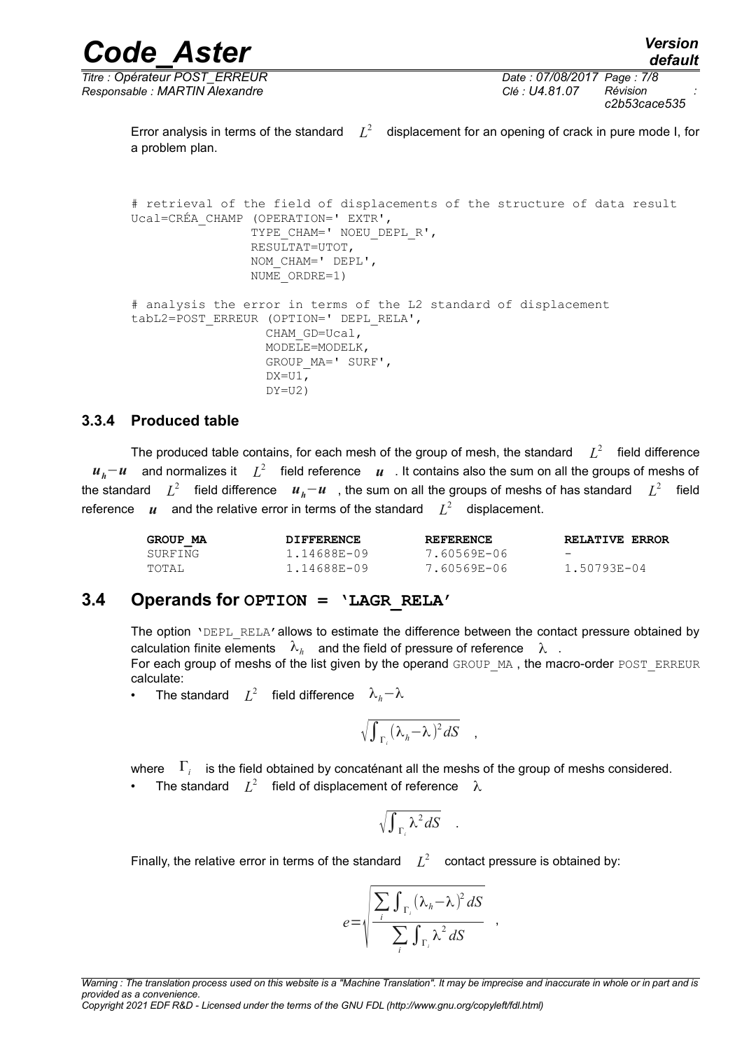*Titre : Opérateur POST\_ERREUR Date : 07/08/2017 Page : 7/8 Responsable : MARTIN Alexandre Clé : U4.81.07 Révision :*

*c2b53cace535*

Error analysis in terms of the standard  $L^2$  displacement for an opening of crack in pure mode I, for a problem plan.

# retrieval of the field of displacements of the structure of data result Ucal=CRÉA\_CHAMP (OPERATION=' EXTR', TYPE CHAM=' NOEU DEPL R', RESULTAT=UTOT, NOM\_CHAM=' DEPL', NUME\_ORDRE=1) # analysis the error in terms of the L2 standard of displacement tabL2=POST\_ERREUR (OPTION=' DEPL\_RELA', CHAM\_GD=Ucal, MODELE=MODELK, GROUP\_MA=' SURF',  $DX=UI$ ,  $DY=U2$ )

#### **3.3.4 Produced table**

The produced table contains, for each mesh of the group of mesh, the standard  $L^2$  field difference *u*<sub>*h</sub>*−*u* and normalizes it  $L^2$  field reference *u* . It contains also the sum on all the groups of meshs of</sub> the standard *L* 2 field difference *uh*−*u* , the sum on all the groups of meshs of has standard *L* 2 field reference  $\,\,\bm u\,\,\,$  and the relative error in terms of the standard  $\,\,\,L^2\,\,\,$  displacement.

| GROUP MA | <b>DIFFERENCE</b> | <b>REFERENCE</b> | <b>RELATIVE ERROR</b>    |
|----------|-------------------|------------------|--------------------------|
| SURFING  | 1.14688E-09       | 7.60569E-06      | $\overline{\phantom{0}}$ |
| TOTAL    | 1.14688E-09       | 7.60569E-06      | 1.50793E-04              |

#### **3.4 Operands for OPTION = 'LAGR\_RELA'**

The option 'DEPL\_RELA' allows to estimate the difference between the contact pressure obtained by calculation finite elements  $\lambda_h$  and the field of pressure of reference  $\lambda$  . For each group of meshs of the list given by the operand GROUP MA, the macro-order POST\_ERREUR calculate:

• The standard *L* 2 field difference λ*h*−λ

$$
\sqrt{\int_{\Gamma_i} (\lambda_h - \lambda)^2 dS} \quad ,
$$

where  $\Gamma_i^-$  is the field obtained by concaténant all the meshs of the group of meshs considered. • The standard  $L^2$  field of displacement of reference  $\lambda$ 

$$
\sqrt{\int_{\Gamma_i} \lambda^2 dS} \quad .
$$

Finally, the relative error in terms of the standard  $L^2$  contact pressure is obtained by:

$$
e = \sqrt{\frac{\sum_{i} \int_{\Gamma_i} (\lambda_h - \lambda)^2 dS}{\sum_{i} \int_{\Gamma_i} \lambda^2 dS}}
$$

,

*Warning : The translation process used on this website is a "Machine Translation". It may be imprecise and inaccurate in whole or in part and is provided as a convenience.*

*Copyright 2021 EDF R&D - Licensed under the terms of the GNU FDL (http://www.gnu.org/copyleft/fdl.html)*